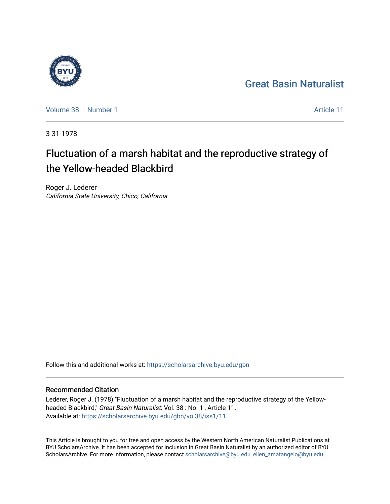## [Great Basin Naturalist](https://scholarsarchive.byu.edu/gbn)



[Volume 38](https://scholarsarchive.byu.edu/gbn/vol38) [Number 1](https://scholarsarchive.byu.edu/gbn/vol38/iss1) [Article 11](https://scholarsarchive.byu.edu/gbn/vol38/iss1/11) Article 11

3-31-1978

# Fluctuation of a marsh habitat and the reproductive strategy of the Yellow-headed Blackbird

Roger J. Lederer California State University, Chico, California

Follow this and additional works at: [https://scholarsarchive.byu.edu/gbn](https://scholarsarchive.byu.edu/gbn?utm_source=scholarsarchive.byu.edu%2Fgbn%2Fvol38%2Fiss1%2F11&utm_medium=PDF&utm_campaign=PDFCoverPages) 

### Recommended Citation

Lederer, Roger J. (1978) "Fluctuation of a marsh habitat and the reproductive strategy of the Yellowheaded Blackbird," Great Basin Naturalist: Vol. 38 : No. 1 , Article 11. Available at: [https://scholarsarchive.byu.edu/gbn/vol38/iss1/11](https://scholarsarchive.byu.edu/gbn/vol38/iss1/11?utm_source=scholarsarchive.byu.edu%2Fgbn%2Fvol38%2Fiss1%2F11&utm_medium=PDF&utm_campaign=PDFCoverPages) 

This Article is brought to you for free and open access by the Western North American Naturalist Publications at BYU ScholarsArchive. It has been accepted for inclusion in Great Basin Naturalist by an authorized editor of BYU ScholarsArchive. For more information, please contact [scholarsarchive@byu.edu, ellen\\_amatangelo@byu.edu.](mailto:scholarsarchive@byu.edu,%20ellen_amatangelo@byu.edu)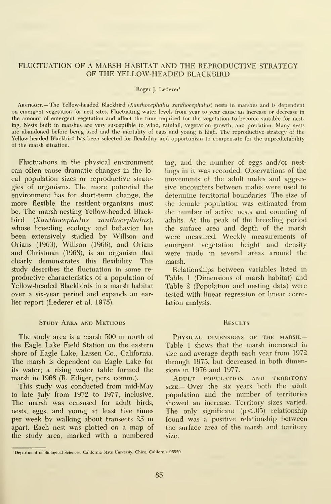#### FLUCTUATION OF A MARSH HABITAT AND THE REPRODUCTIVE STRATEGY OF THE YELLOW-HEADED BLACKBIRD

#### Roger J. Lederer'

ABSTRACT.— The Yellow-headed Blackbird (Xanthocephalus xanthocephalus) nests in marshes and is dependent on emergent vegetation for nest sites. Fluctuating water levels from year to year cause an increase or decrease in the amount of emergent vegetation and affect the time required for the vegetation to become suitable for nesting. Nests built in marshes are very susceptible to wind, rainfall, vegetation growth, and predation. Many nests are abandoned before being used and the mortality of eggs and young ishigh. The reproductive strategy of the Yellow-headed Blackbird has been selected for flexibility and opportunism to compensate for the unpredictability of the marsh situation.

Fluctuations in the physical environment can often cause dramatic changes in the lo cal population sizes or reproductive strate gies of organisms. The more potential the environment has for short-term change, the more flexible the resident-organisms must be. The marsh-nesting Yellow-headed Blackbird (Xanthocephalus xanthocephalus), whose breeding ecology and behavior has been extensively studied by Willson and Orians (1963), Willson (1966), and Orians and Christman (1968), is an organism that clearly demonstrates this flexibility. This study describes the fluctuation in some re productive characteristics of a population of Yellow-headed Blackbirds in a marsh habitat over a six-year period and expands an earlier report (Lederer et al. 1975).

#### Study Area and Methods

The study area is <sup>a</sup> marsh <sup>500</sup> m north of the Eagle Lake Field Station on the eastern shore of Eagle Lake, Lassen Co., California. The marsh is dependent on Eagle Lake for its water; a rising water table formed the marsh in 1968 (R. Ediger, pers. comm.).

This study was conducted from mid-May to late July from 1972 to 1977, inclusive. The marsh was censused for adult birds, nests, eggs, and young at least five times per week by walking about transects <sup>25</sup> m apart. Each nest was plotted on a map of the study area, marked with a numbered

tag, and the number of eggs and /or nestlings in it was recorded. Observations of the movements of the adult males and aggressive encounters between males were used to determine territorial boundaries. The size of the female population was estimated from the number of active nests and counting of adults. At the peak of the breeding period the surface area and depth of the marsh were measured. Weekly measurements of emergent vegetation height and density were made in several areas around the marsh.

Relationships between variables listed in Table <sup>1</sup> (Dimensions of marsh habitat) and Table 2 (Population and nesting data) were tested with linear regression or linear correlation analysis.

#### **RESULTS**

PHYSICAL DIMENSIONS OF THE MARSH.-Table <sup>1</sup> shows that the marsh increased in size and average depth each year from 1972 through 1975, but decreased in both dimensions in 1976 and 1977.

Adult population and territory SIZE.— Over the six years both the adult population and the number of territories showed an increase. Territory sizes varied. The only significant  $(p<.05)$  relationship found was a positive relationship between the surface area of the marsh and territory

<sup>&#</sup>x27;Department of Biological Sciences, California State Universiy, Chico, California 95929.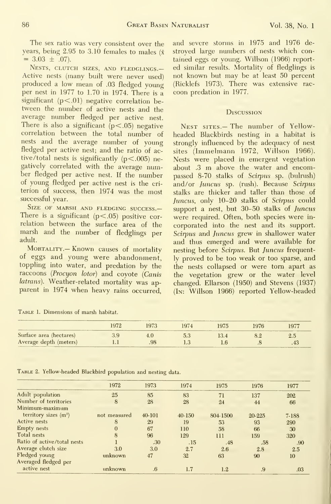The sex ratio was very consistent over the years, being 2.95 to 3.10 females to males ( $\bar{x}$  = 3.03  $\pm$  .07).

Nests, clutch sizes, and fledglings.— Active nests (many built were never used) produced <sup>a</sup> low mean of .03 fledged young per nest in 1977 to 1.70 in 1974. There is a significant  $(p<.01)$  negative correlation between the number of active nests and the average number fledged per active nest. There is also a significant  $(p<.05)$  negative correlation between the total number of nests and the average number of young fledged per active nest; and the ratio of active/total nests is significantly  $(p<.005)$  negatively correlated with the average number fledged per active nest. If the number of young fledged per active nest is the cri terion of success, then 1974 was the most successful year.

SIZE OF MARSH AND FLEDGING SUCCESS.-There is a significant  $(p<.05)$  positive correlation between the surface area of the marsh and the number of fledglings per adult.

MORTALITY. - Known causes of mortality of eggs and young were abandonment, toppling into water, and predation by the raccoons {Procyon lotor) and coyote {Canis latrans). Weather-related mortality was apparent in 1974 when heavy rains occurred.

and severe storms in 1975 and 1976 de stroyed large numbers of nests which contained eggs or young. Willson (1966) reported similar results. Mortality of fledglings is not known but may be at least 50 percent (Ricklefs 1973). There was extensive rac coon predation in 1977.

#### **Discussion**

Nest sites.— The number of Yellowheaded Blackbirds nesting in a habitat is strongly influenced by the adequacy of nest sites (Immelmann 1972, Willson 1966). Nests were placed in emergent vegetation about .3 m above the water and encompassed 8-70 stalks of Scirpus sp. (bulrush) and/or Juncus sp. (rush). Because Scirpus stalks are thicker and taller than those of Juncus, only 10-20 stalks of Scirpus could support a nest, but 30-50 stalks of Juncus were required. Often, both species were in corporated into the nest and its support. Scirpus and Juncus grew in shallower water and thus emerged and were available for nesting before Scirpus. But Juncus frequently proved to be too weak or too sparse, and the nests collapsed or were torn apart as the vegetation grew or the water level changed. Ellarson (1950) and Stevens (1937) (In: Willson 1966) reported Yellow-headed

|                         | 1972 | 1973 | 974 | 1975 | 1976 | $197$ <sup>-</sup> |
|-------------------------|------|------|-----|------|------|--------------------|
| Surface area (hectares) |      |      | 5.3 | 13.4 |      | 2.5                |
| Average depth (meters)  | ____ | .98  |     |      |      |                    |

Table 1.Dimensions of marsh habitat.

Table 2. Yellow-headed Blackbird population and nesting data.

|                             | 1972         | 1973   | 1974       | 1975     | 1976       | 1977         |
|-----------------------------|--------------|--------|------------|----------|------------|--------------|
| Adult population            | 25           | 85     | 83         | 71       | 137        | 202          |
| Number of territories       | 8            | 28     | 28         | 24       | 44         | 66           |
| Minimum-maximum             |              |        |            |          |            |              |
| territory sizes $(m2)$      | not measured | 40-101 | $40 - 150$ | 804-1500 | $20 - 225$ | 7-188        |
| Active nests                | 8            | 29     | 19         | 53       | 93         | 290          |
| <b>Empty</b> nests          | $\theta$     | 67     | 110        | 58       | 66         | $30^{\circ}$ |
| Total nests                 | 8            | 96     | 129        | 111      | 159        | 320          |
| Ratio of active/total nests |              | .30    | .15        | .48      | .58        | .90          |
| Average clutch size         | 3.0          | 3.0    | 2.7        | 2.6      | 2.8        | 2.5          |
| Fledged young               | unknown      | 47     | 32         | 63       | 90         | 10           |
| Averaged fledged per        |              |        |            |          |            |              |
| active nest                 | unknown      | .6     | 1.7        | 1.2      | .9         | .03          |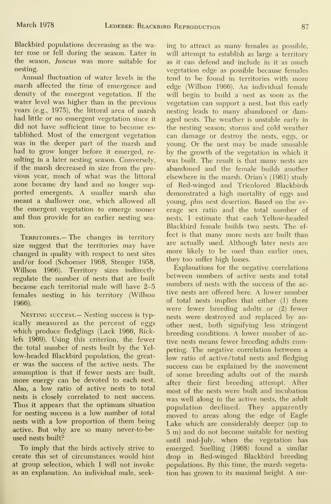Blackbird populations decreasing as the water rose or fell during the season. Later in the season, Juncus was more suitable for nesting.

Annual fluctuation of water levels in the marsh affected the time of emergence and density of the emergent vegetation. If the water level was higher than in the previous years (e.g., 1975), the littoral area of marsh had little or no emergent vegetation since it did not have sufficient time to become es tablished. Most of the emergent vegetation was in the deeper part of the marsh and had to grow longer before it emerged, re sulting in a later nesting season. Conversely, if the marsh decreased in size from the pre vious year, much of what was the littoral zone became dry land and no longer sup ported emergents. A smaller marsh also meant a shallower one, which allowed all the emergent vegetation to emerge sooner and thus provide for an earlier nesting season.

TERRITORIES.— The changes in territory size suggest that the territories may have changed in quality with respect to nest sites and/or food (Schoener 1968, Stenger 1958, Willson 1966). Territory sizes indirectly regulate the number of nests that are built because each territorial male will have 2-5 females nesting in his territory (Willson 1966).

Nesting success.— Nesting success is typically measured as the percent of eggs which produce fledglings (Lack 1966, Ricklefs 1969). Using this criterion, the fewer the total number of nests built by the Yel low-headed Blackbird population, the greater was the success of the active nests. The assumption is that if fewer nests are built, more energy can be devoted to each nest. Also, a low ratio of active nests to total nests is closely correlated to nest success. Thus it appears that the optimum situation for nesting success is a low number of total nests with a low proportion of them being active. But why are so many never-to-be used nests built?

To imply that the birds actively strive to create this set of circumstances would hint at group selection, which <sup>I</sup> will not invoke as an explanation. An individual male, seek-

ing to attract as many females as possible, will attempt to establish as large a territory as it can defend and include in it as much vegetation edge as possible because females tend to be found in territories with more edge (Willson 1966). An individual female will begin to build a nest as soon as the vegetation can support a nest, but this early nesting leads to many abandoned or damaged nests. The weather is unstable early in the nesting season; storms and cold weather can damage or destroy the nests, eggs, or young. Or the nest may be made unusable by the growth of the vegetation in which it was built. The result is that many nests are abandoned and the female builds another elsewhere in the marsh. Orian's (1961) study of Red-winged and Tricolored Blackbirds demonstrated a high mortality of eggs and young, plus nest desertion. Based on the average sex ratio and the total number of nests, <sup>I</sup> estimate that each Yellow-headed Blackbird female builds two nests. The ef fect is that many more nests are built than are actually used. Although later nests are more likely to be used than earlier ones, they too suffer high losses.

Explanations for the negative correlations between numbers of active nests and total numbers of nests with the success of the active nests are offered here. A lower number of total nests implies that either (1) there were fewer breeding adults or (2) fewer nests were destroyed and replaced by an other nest, both signifying less stringent breeding conditions. A lower number of active nests means fewer breeding adults competing. The negative correlation between a low ratio of active/total nests and fledging success can be explained by the movement of some breeding adults out of the marsh after their first breeding attempt. After most of the nests were built and incubation was well along in the active nests, the adult population declined. They apparently moved to areas along the edge of Eagle Lake which are considerably deeper (up to 5 m) and do not become suitable for nesting until mid-July, when the vegetation has emerged. Snelling (1968) found a similar drop in Red-winged Blackbird breeding populations. By this time, the marsh vegetation has grown to its maximal height. A sur